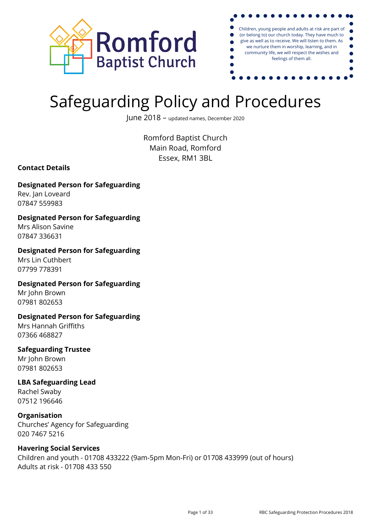



# Safeguarding Policy and Procedures

June 2018 – updated names, December <sup>2020</sup>

Romford Baptist Church Main Road, Romford Essex, RM1 3BL

**Contact Details**

# **Designated Person for Safeguarding**

Rev. Jan Loveard 07847 559983

# **Designated Person for Safeguarding**

Mrs Alison Savine 07847 336631

# **Designated Person for Safeguarding**

Mrs Lin Cuthbert 07799 778391

#### **Designated Person for Safeguarding** Mr John Brown 07981 802653

**Designated Person for Safeguarding** Mrs Hannah Griffiths

07366 468827

# **Safeguarding Trustee**

Mr John Brown 07981 802653

# **LBA Safeguarding Lead** Rachel Swaby

07512 196646

# **Organisation**

Churches' Agency for Safeguarding 020 7467 5216

# **Havering Social Services**

Children and youth - 01708 433222 (9am-5pm Mon-Fri) or 01708 433999 (out of hours) Adults at risk - 01708 433 550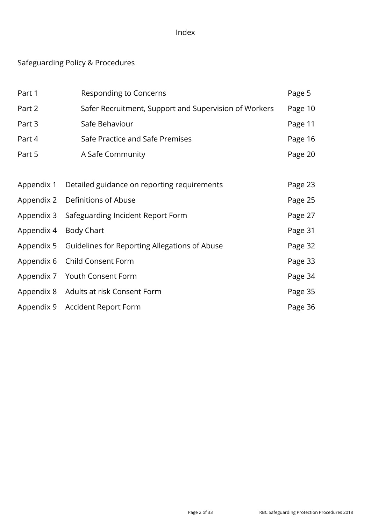# Index

# Safeguarding Policy & Procedures

| Part 1     | <b>Responding to Concerns</b>                         | Page 5  |
|------------|-------------------------------------------------------|---------|
| Part 2     | Safer Recruitment, Support and Supervision of Workers | Page 10 |
| Part 3     | Safe Behaviour                                        | Page 11 |
| Part 4     | Safe Practice and Safe Premises                       | Page 16 |
| Part 5     | A Safe Community                                      | Page 20 |
|            |                                                       |         |
| Appendix 1 | Detailed guidance on reporting requirements           | Page 23 |
| Appendix 2 | Definitions of Abuse                                  | Page 25 |
| Appendix 3 | Safeguarding Incident Report Form                     | Page 27 |
| Appendix 4 | Body Chart                                            | Page 31 |
| Appendix 5 | Guidelines for Reporting Allegations of Abuse         | Page 32 |
| Appendix 6 | Child Consent Form                                    | Page 33 |
| Appendix 7 | Youth Consent Form                                    | Page 34 |
| Appendix 8 | Adults at risk Consent Form                           | Page 35 |
| Appendix 9 | <b>Accident Report Form</b>                           | Page 36 |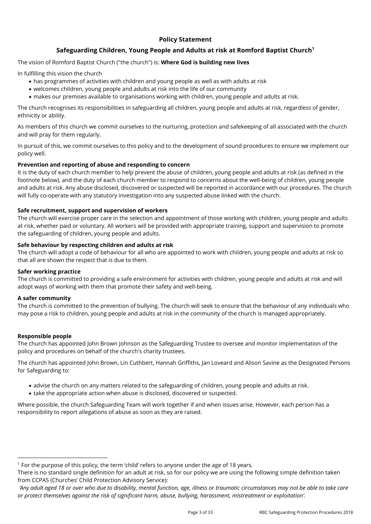#### **Policy Statement**

#### **Safeguarding Children, Young People and Adults at risk at Romford Baptist Church<sup>1</sup>**

The vision of Romford Baptist Church ("the church") is: **Where God is building new lives**

In fulfilling this vision the church

- has programmes of activities with children and young people as well as with adults at risk
- welcomes children, young people and adults at risk into the life of our community
- makes our premises available to organisations working with children, young people and adults at risk.

The church recognises its responsibilities in safeguarding all children, young people and adults at risk, regardless of gender, ethnicity or ability.

As members of this church we commit ourselves to the nurturing, protection and safekeeping of all associated with the church and will pray for them regularly.

In pursuit of this, we commit ourselves to this policy and to the development of sound procedures to ensure we implement our policy well.

#### **Prevention and reporting of abuse and responding to concern**

It is the duty of each church member to help prevent the abuse of children, young people and adults at risk (as defined in the footnote below), and the duty of each church member to respond to concerns about the well-being of children, young people and adults at risk. Any abuse disclosed, discovered or suspected will be reported in accordance with our procedures. The church will fully co-operate with any statutory investigation into any suspected abuse linked with the church.

#### **Safe recruitment, support and supervision of workers**

The church will exercise proper care in the selection and appointment of those working with children, young people and adults at risk, whether paid or voluntary. All workers will be provided with appropriate training, support and supervision to promote the safeguarding of children, young people and adults.

#### **Safe behaviour by respecting children and adults at risk**

The church will adopt a code of behaviour for all who are appointed to work with children, young people and adults at risk so that all are shown the respect that is due to them.

#### **Safer working practice**

The church is committed to providing a safe environment for activities with children, young people and adults at risk and will adopt ways of working with them that promote their safety and well-being.

#### **A safer community**

The church is committed to the prevention of bullying. The church will seek to ensure that the behaviour of any individuals who may pose a risk to children, young people and adults at risk in the community of the church is managed appropriately.

#### **Responsible people**

The church has appointed John Brown Johnson as the Safeguarding Trustee to oversee and monitor implementation of the policy and procedures on behalf of the church's charity trustees.

The church has appointed John Brown, Lin Cuthbert, Hannah Griffiths, Jan Loveard and Alison Savine as the Designated Persons for Safeguarding to:

- advise the church on any matters related to the safeguarding of children, young people and adults at risk.
- take the appropriate action when abuse is disclosed, discovered or suspected.

Where possible, the church Safeguarding Team will work together if and when issues arise. However, each person has a responsibility to report allegations of abuse as soon as they are raised.

<sup>1</sup> For the purpose of this policy, the term 'child' refers to anyone under the age of 18 years.

There is no standard single definition for an adult at risk, so for our policy we are using the following simple definition taken from CCPAS (Churches' Child Protection Advisory Service):

*<sup>&#</sup>x27;Any adult aged 18 or over who due to disability, mental function, age, illness or traumatic circumstances may not be able to take care or protect themselves against the risk of significant harm, abuse, bullying, harassment, mistreatment or exploitation'.*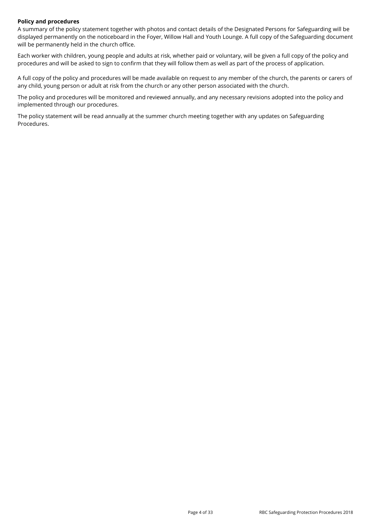#### **Policy and procedures**

A summary of the policy statement together with photos and contact details of the Designated Persons for Safeguarding will be displayed permanently on the noticeboard in the Foyer, Willow Hall and Youth Lounge. A full copy of the Safeguarding document will be permanently held in the church office.

Each worker with children, young people and adults at risk, whether paid or voluntary, will be given a full copy of the policy and procedures and will be asked to sign to confirm that they will follow them as well as part of the process of application.

A full copy of the policy and procedures will be made available on request to any member of the church, the parents or carers of any child, young person or adult at risk from the church or any other person associated with the church.

The policy and procedures will be monitored and reviewed annually, and any necessary revisions adopted into the policy and implemented through our procedures.

The policy statement will be read annually at the summer church meeting together with any updates on Safeguarding Procedures.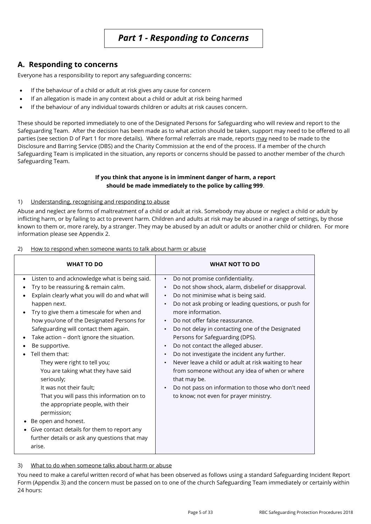# **A. Responding to concerns**

Everyone has a responsibility to report any safeguarding concerns:

- If the behaviour of a child or adult at risk gives any cause for concern
- If an allegation is made in any context about a child or adult at risk being harmed
- If the behaviour of any individual towards children or adults at risk causes concern.

These should be reported immediately to one of the Designated Persons for Safeguarding who will review and report to the Safeguarding Team. After the decision has been made as to what action should be taken, support may need to be offered to all parties (see section D of Part 1 for more details). Where formal referrals are made, reports may need to be made to the Disclosure and Barring Service (DBS) and the Charity Commission at the end of the process. If a member of the church Safeguarding Team is implicated in the situation, any reports or concerns should be passed to another member of the church Safeguarding Team.

#### **If you think that anyone is in imminent danger of harm, a report should be made immediately to the police by calling 999**.

#### 1) Understanding, recognising and responding to abuse

Abuse and neglect are forms of maltreatment of a child or adult at risk. Somebody may abuse or neglect a child or adult by inflicting harm, or by failing to act to prevent harm. Children and adults at risk may be abused in a range of settings, by those known to them or, more rarely, by a stranger. They may be abused by an adult or adults or another child or children. For more information please see Appendix 2.

| <b>WHAT TO DO</b>                                                                                                                                                                                                                                                                                                                                                                                                                                                                                                                                                                                                                                                                                                             | <b>WHAT NOT TO DO</b>                                                                                                                                                                                                                                                                                                                                                                                                                                                                                                                                                                                                                                                                                                                                        |
|-------------------------------------------------------------------------------------------------------------------------------------------------------------------------------------------------------------------------------------------------------------------------------------------------------------------------------------------------------------------------------------------------------------------------------------------------------------------------------------------------------------------------------------------------------------------------------------------------------------------------------------------------------------------------------------------------------------------------------|--------------------------------------------------------------------------------------------------------------------------------------------------------------------------------------------------------------------------------------------------------------------------------------------------------------------------------------------------------------------------------------------------------------------------------------------------------------------------------------------------------------------------------------------------------------------------------------------------------------------------------------------------------------------------------------------------------------------------------------------------------------|
| Listen to and acknowledge what is being said.<br>Try to be reassuring & remain calm.<br>Explain clearly what you will do and what will<br>happen next.<br>Try to give them a timescale for when and<br>how you/one of the Designated Persons for<br>Safeguarding will contact them again.<br>Take action - don't ignore the situation.<br>Be supportive.<br>Tell them that:<br>They were right to tell you;<br>You are taking what they have said<br>seriously;<br>It was not their fault;<br>That you will pass this information on to<br>the appropriate people, with their<br>permission;<br>Be open and honest.<br>Give contact details for them to report any<br>further details or ask any questions that may<br>arise. | Do not promise confidentiality.<br>$\bullet$<br>Do not show shock, alarm, disbelief or disapproval.<br>$\bullet$<br>Do not minimise what is being said.<br>$\bullet$<br>Do not ask probing or leading questions, or push for<br>$\bullet$<br>more information.<br>Do not offer false reassurance.<br>$\bullet$<br>Do not delay in contacting one of the Designated<br>Persons for Safeguarding (DPS).<br>Do not contact the alleged abuser.<br>$\bullet$<br>Do not investigate the incident any further.<br>$\bullet$<br>Never leave a child or adult at risk waiting to hear<br>$\bullet$<br>from someone without any idea of when or where<br>that may be.<br>Do not pass on information to those who don't need<br>to know; not even for prayer ministry. |

#### 2) How to respond when someone wants to talk about harm or abuse

### 3) What to do when someone talks about harm or abuse

You need to make a careful written record of what has been observed as follows using a standard Safeguarding Incident Report Form (Appendix 3) and the concern must be passed on to one of the church Safeguarding Team immediately or certainly within 24 hours: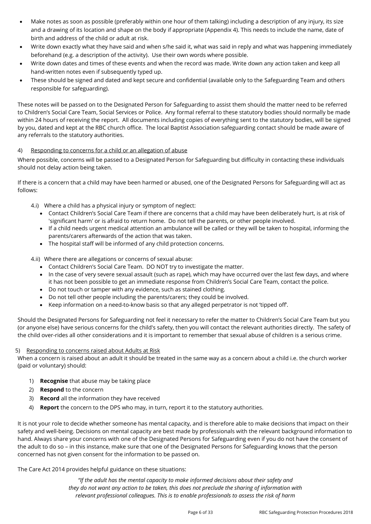- Make notes as soon as possible (preferably within one hour of them talking) including a description of any injury, its size and a drawing of its location and shape on the body if appropriate (Appendix 4). This needs to include the name, date of birth and address of the child or adult at risk.
- Write down exactly what they have said and when s/he said it, what was said in reply and what was happening immediately beforehand (e.g. a description of the activity). Use their own words where possible.
- Write down dates and times of these events and when the record was made. Write down any action taken and keep all hand-written notes even if subsequently typed up.
- These should be signed and dated and kept secure and confidential (available only to the Safeguarding Team and others responsible for safeguarding).

These notes will be passed on to the Designated Person for Safeguarding to assist them should the matter need to be referred to Children's Social Care Team, Social Services or Police. Any formal referral to these statutory bodies should normally be made within 24 hours of receiving the report. All documents including copies of everything sent to the statutory bodies, will be signed by you, dated and kept at the RBC church office. The local Baptist Association safeguarding contact should be made aware of any referrals to the statutory authorities.

#### 4) Responding to concerns for a child or an allegation of abuse

Where possible, concerns will be passed to a Designated Person for Safeguarding but difficulty in contacting these individuals should not delay action being taken.

If there is a concern that a child may have been harmed or abused, one of the Designated Persons for Safeguarding will act as follows:

- 4.i) Where a child has a physical injury or symptom of neglect:
	- Contact Children's Social Care Team if there are concerns that a child may have been deliberately hurt, is at risk of 'significant harm' or is afraid to return home. Do not tell the parents, or other people involved.
	- If a child needs urgent medical attention an ambulance will be called or they will be taken to hospital, informing the parents/carers afterwards of the action that was taken.
	- The hospital staff will be informed of any child protection concerns.

4.ii) Where there are allegations or concerns of sexual abuse:

- Contact Children's Social Care Team. DO NOT try to investigate the matter.
- In the case of very severe sexual assault (such as rape), which may have occurred over the last few days, and where it has not been possible to get an immediate response from Children's Social Care Team, contact the police.
- Do not touch or tamper with any evidence, such as stained clothing.
- Do not tell other people including the parents/carers; they could be involved.
- Keep information on a need-to-know basis so that any alleged perpetrator is not 'tipped off'.

Should the Designated Persons for Safeguarding not feel it necessary to refer the matter to Children's Social Care Team but you (or anyone else) have serious concerns for the child's safety, then you will contact the relevant authorities directly. The safety of the child over-rides all other considerations and it is important to remember that sexual abuse of children is a serious crime.

#### 5) Responding to concerns raised about Adults at Risk

When a concern is raised about an adult it should be treated in the same way as a concern about a child i.e. the church worker (paid or voluntary) should:

- 1) **Recognise** that abuse may be taking place
- 2) **Respond** to the concern
- 3) **Record** all the information they have received
- 4) **Report** the concern to the DPS who may, in turn, report it to the statutory authorities.

It is not your role to decide whether someone has mental capacity, and is therefore able to make decisions that impact on their safety and well-being. Decisions on mental capacity are best made by professionals with the relevant background information to hand. Always share your concerns with one of the Designated Persons for Safeguarding even if you do not have the consent of the adult to do so – in this instance, make sure that one of the Designated Persons for Safeguarding knows that the person concerned has not given consent for the information to be passed on.

#### The Care Act 2014 provides helpful guidance on these situations:

*"If the adult has the mental capacity to make informed decisions about their safety and they do not want any action to be taken, this does not preclude the sharing of information with relevant professional colleagues. This is to enable professionals to assess the risk of harm*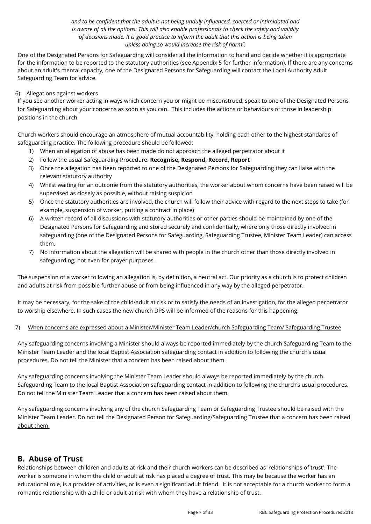#### *and to be confident that the adult is not being unduly influenced, coerced or intimidated and is aware of all the options. This will also enable professionals to check the safety and validity of decisions made. It is good practice to inform the adult that this action is being taken unless doing so would increase the risk of harm".*

One of the Designated Persons for Safeguarding will consider all the information to hand and decide whether it is appropriate for the information to be reported to the statutory authorities (see Appendix 5 for further information). If there are any concerns about an adult's mental capacity, one of the Designated Persons for Safeguarding will contact the Local Authority Adult Safeguarding Team for advice.

#### 6) Allegations against workers

If you see another worker acting in ways which concern you or might be misconstrued, speak to one of the Designated Persons for Safeguarding about your concerns as soon as you can. This includes the actions or behaviours of those in leadership positions in the church.

Church workers should encourage an atmosphere of mutual accountability, holding each other to the highest standards of safeguarding practice. The following procedure should be followed:

- 1) When an allegation of abuse has been made do not approach the alleged perpetrator about it
- 2) Follow the usual Safeguarding Procedure: **Recognise, Respond, Record, Report**
- 3) Once the allegation has been reported to one of the Designated Persons for Safeguarding they can liaise with the relevant statutory authority
- 4) Whilst waiting for an outcome from the statutory authorities, the worker about whom concerns have been raised will be supervised as closely as possible, without raising suspicion
- 5) Once the statutory authorities are involved, the church will follow their advice with regard to the next steps to take (for example, suspension of worker, putting a contract in place)
- 6) A written record of all discussions with statutory authorities or other parties should be maintained by one of the Designated Persons for Safeguarding and stored securely and confidentially, where only those directly involved in safeguarding (one of the Designated Persons for Safeguarding, Safeguarding Trustee, Minister Team Leader) can access them.
- 7) No information about the allegation will be shared with people in the church other than those directly involved in safeguarding; not even for prayer purposes.

The suspension of a worker following an allegation is, by definition, a neutral act. Our priority as a church is to protect children and adults at risk from possible further abuse or from being influenced in any way by the alleged perpetrator.

It may be necessary, for the sake of the child/adult at risk or to satisfy the needs of an investigation, for the alleged perpetrator to worship elsewhere. In such cases the new church DPS will be informed of the reasons for this happening.

#### 7) When concerns are expressed about a Minister/Minister Team Leader/church Safeguarding Team/ Safeguarding Trustee

Any safeguarding concerns involving a Minister should always be reported immediately by the church Safeguarding Team to the Minister Team Leader and the local Baptist Association safeguarding contact in addition to following the church's usual procedures. Do not tell the Minister that a concern has been raised about them.

Any safeguarding concerns involving the Minister Team Leader should always be reported immediately by the church Safeguarding Team to the local Baptist Association safeguarding contact in addition to following the church's usual procedures. Do not tell the Minister Team Leader that a concern has been raised about them.

Any safeguarding concerns involving any of the church Safeguarding Team or Safeguarding Trustee should be raised with the Minister Team Leader. Do not tell the Designated Person for Safeguarding/Safeguarding Trustee that a concern has been raised about them.

# **B. Abuse of Trust**

Relationships between children and adults at risk and their church workers can be described as 'relationships of trust'. The worker is someone in whom the child or adult at risk has placed a degree of trust. This may be because the worker has an educational role, is a provider of activities, or is even a significant adult friend. It is not acceptable for a church worker to form a romantic relationship with a child or adult at risk with whom they have a relationship of trust.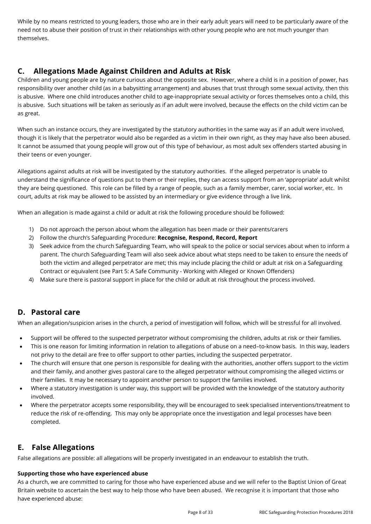While by no means restricted to young leaders, those who are in their early adult years will need to be particularly aware of the need not to abuse their position of trust in their relationships with other young people who are not much younger than themselves.

# **C. Allegations Made Against Children and Adults at Risk**

Children and young people are by nature curious about the opposite sex. However, where a child is in a position of power, has responsibility over another child (as in a babysitting arrangement) and abuses that trust through some sexual activity, then this is abusive. Where one child introduces another child to age-inappropriate sexual activity or forces themselves onto a child, this is abusive. Such situations will be taken as seriously as if an adult were involved, because the effects on the child victim can be as great.

When such an instance occurs, they are investigated by the statutory authorities in the same way as if an adult were involved, though it is likely that the perpetrator would also be regarded as a victim in their own right, as they may have also been abused. It cannot be assumed that young people will grow out of this type of behaviour, as most adult sex offenders started abusing in their teens or even younger.

Allegations against adults at risk will be investigated by the statutory authorities. If the alleged perpetrator is unable to understand the significance of questions put to them or their replies, they can access support from an 'appropriate' adult whilst they are being questioned. This role can be filled by a range of people, such as a family member, carer, social worker, etc. In court, adults at risk may be allowed to be assisted by an intermediary or give evidence through a live link.

When an allegation is made against a child or adult at risk the following procedure should be followed:

- 1) Do not approach the person about whom the allegation has been made or their parents/carers
- 2) Follow the church's Safeguarding Procedure: **Recognise, Respond, Record, Report**
- 3) Seek advice from the church Safeguarding Team, who will speak to the police or social services about when to inform a parent. The church Safeguarding Team will also seek advice about what steps need to be taken to ensure the needs of both the victim and alleged perpetrator are met; this may include placing the child or adult at risk on a Safeguarding Contract or equivalent (see Part 5: A Safe Community - Working with Alleged or Known Offenders)
- 4) Make sure there is pastoral support in place for the child or adult at risk throughout the process involved.

# **D. Pastoral care**

When an allegation/suspicion arises in the church, a period of investigation will follow, which will be stressful for all involved.

- Support will be offered to the suspected perpetrator without compromising the children, adults at risk or their families.
- This is one reason for limiting information in relation to allegations of abuse on a need–to-know basis. In this way, leaders not privy to the detail are free to offer support to other parties, including the suspected perpetrator.
- The church will ensure that one person is responsible for dealing with the authorities, another offers support to the victim and their family, and another gives pastoral care to the alleged perpetrator without compromising the alleged victims or their families. It may be necessary to appoint another person to support the families involved.
- Where a statutory investigation is under way, this support will be provided with the knowledge of the statutory authority involved.
- Where the perpetrator accepts some responsibility, they will be encouraged to seek specialised interventions/treatment to reduce the risk of re-offending. This may only be appropriate once the investigation and legal processes have been completed.

# **E. False Allegations**

False allegations are possible: all allegations will be properly investigated in an endeavour to establish the truth.

#### **Supporting those who have experienced abuse**

As a church, we are committed to caring for those who have experienced abuse and we will refer to the Baptist Union of Great Britain website to ascertain the best way to help those who have been abused. We recognise it is important that those who have experienced abuse: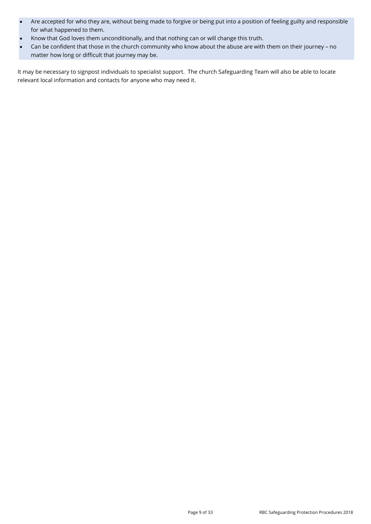- Are accepted for who they are, without being made to forgive or being put into a position of feeling guilty and responsible for what happened to them.
- Know that God loves them unconditionally, and that nothing can or will change this truth.
- Can be confident that those in the church community who know about the abuse are with them on their journey no matter how long or difficult that journey may be.

It may be necessary to signpost individuals to specialist support. The church Safeguarding Team will also be able to locate relevant local information and contacts for anyone who may need it.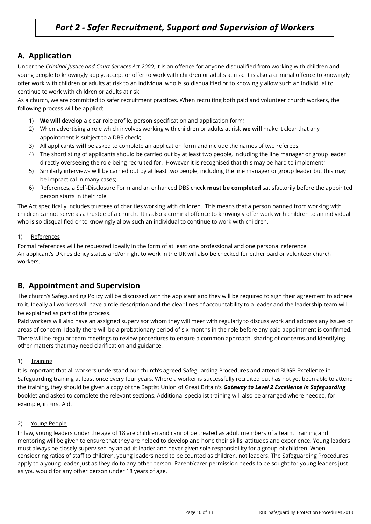# *Part 2 - Safer Recruitment, Support and Supervision of Workers*

# **A. Application**

Under the *Criminal Justice and Court Services Act 2000*, it is an offence for anyone disqualified from working with children and young people to knowingly apply, accept or offer to work with children or adults at risk. It is also a criminal offence to knowingly offer work with children or adults at risk to an individual who is so disqualified or to knowingly allow such an individual to continue to work with children or adults at risk.

As a church, we are committed to safer recruitment practices. When recruiting both paid and volunteer church workers, the following process will be applied:

- 1) **We will** develop a clear role profile, person specification and application form;
- 2) When advertising a role which involves working with children or adults at risk **we will** make it clear that any appointment is subject to a DBS check;
- 3) All applicants **will** be asked to complete an application form and include the names of two referees;
- 4) The shortlisting of applicants should be carried out by at least two people, including the line manager or group leader directly overseeing the role being recruited for. However it is recognised that this may be hard to implement;
- 5) Similarly interviews will be carried out by at least two people, including the line manager or group leader but this may be impractical in many cases;
- 6) References, a Self-Disclosure Form and an enhanced DBS check **must be completed** satisfactorily before the appointed person starts in their role.

The Act specifically includes trustees of charities working with children. This means that a person banned from working with children cannot serve as a trustee of a church. It is also a criminal offence to knowingly offer work with children to an individual who is so disqualified or to knowingly allow such an individual to continue to work with children.

#### 1) References

Formal references will be requested ideally in the form of at least one professional and one personal reference. An applicant's UK residency status and/or right to work in the UK will also be checked for either paid or volunteer church workers.

# **B. Appointment and Supervision**

The church's Safeguarding Policy will be discussed with the applicant and they will be required to sign their agreement to adhere to it. Ideally all workers will have a role description and the clear lines of accountability to a leader and the leadership team will be explained as part of the process.

Paid workers will also have an assigned supervisor whom they will meet with regularly to discuss work and address any issues or areas of concern. Ideally there will be a probationary period of six months in the role before any paid appointment is confirmed. There will be regular team meetings to review procedures to ensure a common approach, sharing of concerns and identifying other matters that may need clarification and guidance.

#### 1) Training

It is important that all workers understand our church's agreed Safeguarding Procedures and attend BUGB Excellence in Safeguarding training at least once every four years. Where a worker is successfully recruited but has not yet been able to attend the training, they should be given a copy of the Baptist Union of Great Britain's *Gateway to Level 2 Excellence in Safeguarding* booklet and asked to complete the relevant sections. Additional specialist training will also be arranged where needed, for example, in First Aid.

#### 2) Young People

In law, young leaders under the age of 18 are children and cannot be treated as adult members of a team. Training and mentoring will be given to ensure that they are helped to develop and hone their skills, attitudes and experience. Young leaders must always be closely supervised by an adult leader and never given sole responsibility for a group of children. When considering ratios of staff to children, young leaders need to be counted as children, not leaders. The Safeguarding Procedures apply to a young leader just as they do to any other person. Parent/carer permission needs to be sought for young leaders just as you would for any other person under 18 years of age.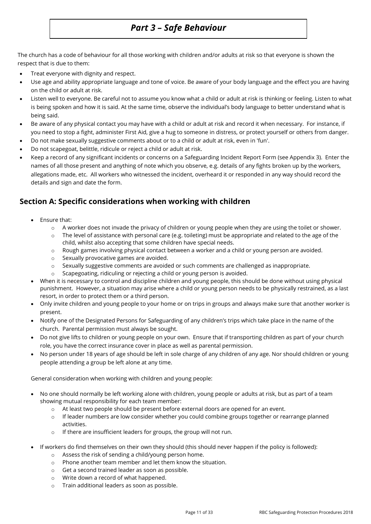# *Part 3 – Safe Behaviour*

The church has a code of behaviour for all those working with children and/or adults at risk so that everyone is shown the respect that is due to them:

- Treat everyone with dignity and respect.
- Use age and ability appropriate language and tone of voice. Be aware of your body language and the effect you are having on the child or adult at risk.
- Listen well to everyone. Be careful not to assume you know what a child or adult at risk is thinking or feeling. Listen to what is being spoken and how it is said. At the same time, observe the individual's body language to better understand what is being said.
- Be aware of any physical contact you may have with a child or adult at risk and record it when necessary. For instance, if you need to stop a fight, administer First Aid, give a hug to someone in distress, or protect yourself or others from danger.
- Do not make sexually suggestive comments about or to a child or adult at risk, even in 'fun'.
- Do not scapegoat, belittle, ridicule or reject a child or adult at risk.
- Keep a record of any significant incidents or concerns on a Safeguarding Incident Report Form (see Appendix 3). Enter the names of all those present and anything of note which you observe, e.g. details of any fights broken up by the workers, allegations made, etc. All workers who witnessed the incident, overheard it or responded in any way should record the details and sign and date the form.

# **Section A: Specific considerations when working with children**

- Ensure that:
	- o A worker does not invade the privacy of children or young people when they are using the toilet or shower.
	- $\circ$  The level of assistance with personal care (e.g. toileting) must be appropriate and related to the age of the child, whilst also accepting that some children have special needs.
	- o Rough games involving physical contact between a worker and a child or young person are avoided.
	- o Sexually provocative games are avoided.
	- o Sexually suggestive comments are avoided or such comments are challenged as inappropriate.
	- o Scapegoating, ridiculing or rejecting a child or young person is avoided.
- When it is necessary to control and discipline children and young people, this should be done without using physical punishment. However, a situation may arise where a child or young person needs to be physically restrained, as a last resort, in order to protect them or a third person.
- Only invite children and young people to your home or on trips in groups and always make sure that another worker is present.
- Notify one of the Designated Persons for Safeguarding of any children's trips which take place in the name of the church. Parental permission must always be sought.
- Do not give lifts to children or young people on your own. Ensure that if transporting children as part of your church role, you have the correct insurance cover in place as well as parental permission.
- No person under 18 years of age should be left in sole charge of any children of any age. Nor should children or young people attending a group be left alone at any time.

General consideration when working with children and young people:

- No one should normally be left working alone with children, young people or adults at risk, but as part of a team showing mutual responsibility for each team member:
	- o At least two people should be present before external doors are opened for an event.
	- o If leader numbers are low consider whether you could combine groups together or rearrange planned activities.
	- o If there are insufficient leaders for groups, the group will not run.
- If workers do find themselves on their own they should (this should never happen if the policy is followed):
	- o Assess the risk of sending a child/young person home.
	- o Phone another team member and let them know the situation.
	- o Get a second trained leader as soon as possible.
	- o Write down a record of what happened.
	- o Train additional leaders as soon as possible.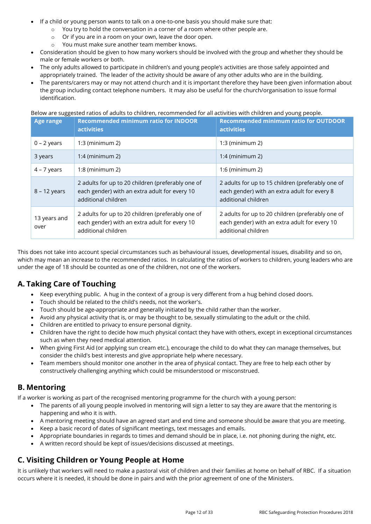- If a child or young person wants to talk on a one-to-one basis you should make sure that:
	- o You try to hold the conversation in a corner of a room where other people are.
		- o Or if you are in a room on your own, leave the door open.
		- o You must make sure another team member knows.
- Consideration should be given to how many workers should be involved with the group and whether they should be male or female workers or both.
- The only adults allowed to participate in children's and young people's activities are those safely appointed and appropriately trained. The leader of the activity should be aware of any other adults who are in the building.
- The parents/carers may or may not attend church and it is important therefore they have been given information about the group including contact telephone numbers. It may also be useful for the church/organisation to issue formal identification.

#### Below are suggested ratios of adults to children, recommended for all activities with children and young people.

| <b>Age range</b>     | <b>Recommended minimum ratio for INDOOR</b><br><b>activities</b>                                                          | <b>Recommended minimum ratio for OUTDOOR</b><br>activities                                                                |
|----------------------|---------------------------------------------------------------------------------------------------------------------------|---------------------------------------------------------------------------------------------------------------------------|
| $0 - 2$ years        | $1:3$ (minimum 2)                                                                                                         | $1:3$ (minimum 2)                                                                                                         |
| 3 years              | $1:4$ (minimum 2)                                                                                                         | $1:4$ (minimum 2)                                                                                                         |
| $4 - 7$ years        | $1:8$ (minimum 2)                                                                                                         | $1:6$ (minimum 2)                                                                                                         |
| $8 - 12$ years       | 2 adults for up to 20 children (preferably one of<br>each gender) with an extra adult for every 10<br>additional children | 2 adults for up to 15 children (preferably one of<br>each gender) with an extra adult for every 8<br>additional children  |
| 13 years and<br>over | 2 adults for up to 20 children (preferably one of<br>each gender) with an extra adult for every 10<br>additional children | 2 adults for up to 20 children (preferably one of<br>each gender) with an extra adult for every 10<br>additional children |

This does not take into account special circumstances such as behavioural issues, developmental issues, disability and so on, which may mean an increase to the recommended ratios. In calculating the ratios of workers to children, young leaders who are under the age of 18 should be counted as one of the children, not one of the workers.

# **A. Taking Care of Touching**

- Keep everything public. A hug in the context of a group is very different from a hug behind closed doors.
- Touch should be related to the child's needs, not the worker's.
- Touch should be age-appropriate and generally initiated by the child rather than the worker.
- Avoid any physical activity that is, or may be thought to be, sexually stimulating to the adult or the child.
- Children are entitled to privacy to ensure personal dignity.
- Children have the right to decide how much physical contact they have with others, except in exceptional circumstances such as when they need medical attention.
- When giving First Aid (or applying sun cream etc.), encourage the child to do what they can manage themselves, but consider the child's best interests and give appropriate help where necessary.
- Team members should monitor one another in the area of physical contact. They are free to help each other by constructively challenging anything which could be misunderstood or misconstrued.

# **B. Mentoring**

If a worker is working as part of the recognised mentoring programme for the church with a young person:

- The parents of all young people involved in mentoring will sign a letter to say they are aware that the mentoring is happening and who it is with.
- A mentoring meeting should have an agreed start and end time and someone should be aware that you are meeting.
- Keep a basic record of dates of significant meetings, text messages and emails.
- Appropriate boundaries in regards to times and demand should be in place, i.e. not phoning during the night, etc.
- A written record should be kept of issues/decisions discussed at meetings.

# **C. Visiting Children or Young People at Home**

It is unlikely that workers will need to make a pastoral visit of children and their families at home on behalf of RBC. If a situation occurs where it is needed, it should be done in pairs and with the prior agreement of one of the Ministers.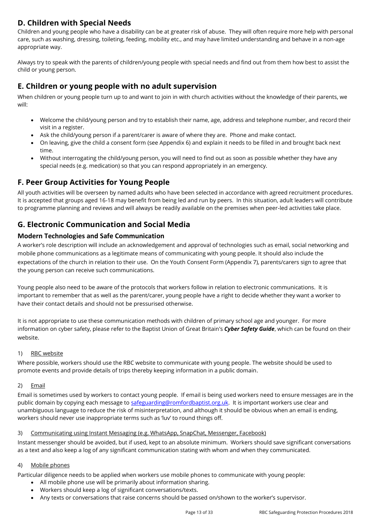# **D. Children with Special Needs**

Children and young people who have a disability can be at greater risk of abuse. They will often require more help with personal care, such as washing, dressing, toileting, feeding, mobility etc., and may have limited understanding and behave in a non-age appropriate way.

Always try to speak with the parents of children/young people with special needs and find out from them how best to assist the child or young person.

# **E. Children or young people with no adult supervision**

When children or young people turn up to and want to join in with church activities without the knowledge of their parents, we will:

- Welcome the child/young person and try to establish their name, age, address and telephone number, and record their visit in a register.
- Ask the child/young person if a parent/carer is aware of where they are. Phone and make contact.
- On leaving, give the child a consent form (see Appendix 6) and explain it needs to be filled in and brought back next time.
- Without interrogating the child/young person, you will need to find out as soon as possible whether they have any special needs (e.g. medication) so that you can respond appropriately in an emergency.

# **F. Peer Group Activities for Young People**

All youth activities will be overseen by named adults who have been selected in accordance with agreed recruitment procedures. It is accepted that groups aged 16-18 may benefit from being led and run by peers. In this situation, adult leaders will contribute to programme planning and reviews and will always be readily available on the premises when peer-led activities take place.

# **G. Electronic Communication and Social Media**

#### **Modern Technologies and Safe Communication**

A worker's role description will include an acknowledgement and approval of technologies such as email, social networking and mobile phone communications as a legitimate means of communicating with young people. It should also include the expectations of the church in relation to their use. On the Youth Consent Form (Appendix 7), parents/carers sign to agree that the young person can receive such communications.

Young people also need to be aware of the protocols that workers follow in relation to electronic communications. It is important to remember that as well as the parent/carer, young people have a right to decide whether they want a worker to have their contact details and should not be pressurised otherwise.

It is not appropriate to use these communication methods with children of primary school age and younger. For more information on cyber safety, please refer to the Baptist Union of Great Britain's *Cyber Safety Guide*, which can be found on their website.

#### 1) RBC website

Where possible, workers should use the RBC website to communicate with young people. The website should be used to promote events and provide details of trips thereby keeping information in a public domain.

#### 2) Email

Email is sometimes used by workers to contact young people. If email is being used workers need to ensure messages are in the public domain by copying each message to [safeguarding@romfordbaptist.org.uk.](mailto:safeguarding@romfordbaptist.org.uk) It is important workers use clear and unambiguous language to reduce the risk of misinterpretation, and although it should be obvious when an email is ending, workers should never use inappropriate terms such as 'luv' to round things off.

#### 3) Communicating using Instant Messaging (e.g. WhatsApp, SnapChat, Messenger, Facebook)

Instant messenger should be avoided, but if used, kept to an absolute minimum. Workers should save significant conversations as a text and also keep a log of any significant communication stating with whom and when they communicated.

#### 4) Mobile phones

Particular diligence needs to be applied when workers use mobile phones to communicate with young people:

- All mobile phone use will be primarily about information sharing.
- Workers should keep a log of significant conversations/texts.
- Any texts or conversations that raise concerns should be passed on/shown to the worker's supervisor.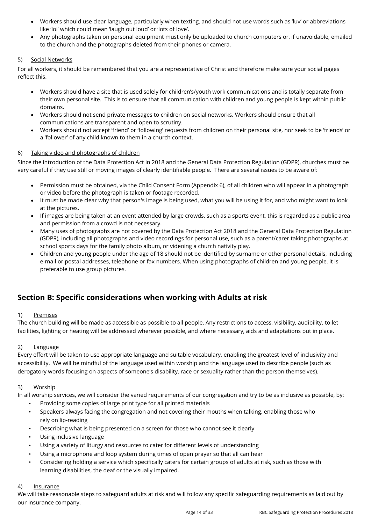- Workers should use clear language, particularly when texting, and should not use words such as 'luv' or abbreviations like 'lol' which could mean 'laugh out loud' or 'lots of love'.
- Any photographs taken on personal equipment must only be uploaded to church computers or, if unavoidable, emailed to the church and the photographs deleted from their phones or camera.

#### 5) Social Networks

For all workers, it should be remembered that you are a representative of Christ and therefore make sure your social pages reflect this.

- Workers should have a site that is used solely for children's/youth work communications and is totally separate from their own personal site. This is to ensure that all communication with children and young people is kept within public domains.
- Workers should not send private messages to children on social networks. Workers should ensure that all communications are transparent and open to scrutiny.
- Workers should not accept 'friend' or 'following' requests from children on their personal site, nor seek to be 'friends' or a 'follower' of any child known to them in a church context.

#### 6) Taking video and photographs of children

Since the introduction of the Data Protection Act in 2018 and the General Data Protection Regulation (GDPR), churches must be very careful if they use still or moving images of clearly identifiable people. There are several issues to be aware of:

- Permission must be obtained, via the Child Consent Form (Appendix 6), of all children who will appear in a photograph or video before the photograph is taken or footage recorded.
- It must be made clear why that person's image is being used, what you will be using it for, and who might want to look at the pictures.
- If images are being taken at an event attended by large crowds, such as a sports event, this is regarded as a public area and permission from a crowd is not necessary.
- Many uses of photographs are not covered by the Data Protection Act 2018 and the General Data Protection Regulation (GDPR), including all photographs and video recordings for personal use, such as a parent/carer taking photographs at school sports days for the family photo album, or videoing a church nativity play.
- Children and young people under the age of 18 should not be identified by surname or other personal details, including e-mail or postal addresses, telephone or fax numbers. When using photographs of children and young people, it is preferable to use group pictures.

# **Section B: Specific considerations when working with Adults at risk**

#### 1) Premises

The church building will be made as accessible as possible to all people. Any restrictions to access, visibility, audibility, toilet facilities, lighting or heating will be addressed wherever possible, and where necessary, aids and adaptations put in place.

#### 2) Language

Every effort will be taken to use appropriate language and suitable vocabulary, enabling the greatest level of inclusivity and accessibility. We will be mindful of the language used within worship and the language used to describe people (such as derogatory words focusing on aspects of someone's disability, race or sexuality rather than the person themselves).

#### 3) Worship

In all worship services, we will consider the varied requirements of our congregation and try to be as inclusive as possible, by:

- Providing some copies of large print type for all printed materials
- Speakers always facing the congregation and not covering their mouths when talking, enabling those who rely on lip-reading
- Describing what is being presented on a screen for those who cannot see it clearly
- Using inclusive language
- Using a variety of liturgy and resources to cater for different levels of understanding
- Using a microphone and loop system during times of open prayer so that all can hear
- Considering holding a service which specifically caters for certain groups of adults at risk, such as those with learning disabilities, the deaf or the visually impaired.

#### 4) Insurance

We will take reasonable steps to safeguard adults at risk and will follow any specific safeguarding requirements as laid out by our insurance company.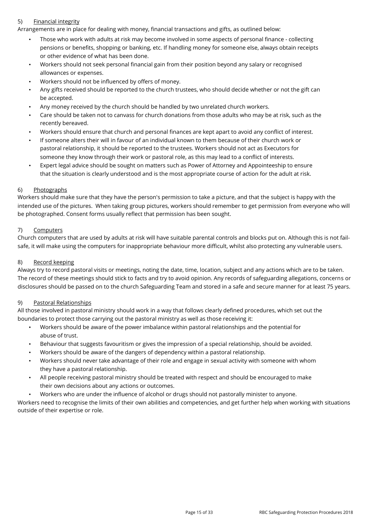#### 5) Financial integrity

Arrangements are in place for dealing with money, financial transactions and gifts, as outlined below:

- Those who work with adults at risk may become involved in some aspects of personal finance collecting pensions or benefits, shopping or banking, etc. If handling money for someone else, always obtain receipts or other evidence of what has been done.
- Workers should not seek personal financial gain from their position beyond any salary or recognised allowances or expenses.
- Workers should not be influenced by offers of money.
- Any gifts received should be reported to the church trustees, who should decide whether or not the gift can be accepted.
- Any money received by the church should be handled by two unrelated church workers.
- Care should be taken not to canvass for church donations from those adults who may be at risk, such as the recently bereaved.
- Workers should ensure that church and personal finances are kept apart to avoid any conflict of interest.
- If someone alters their will in favour of an individual known to them because of their church work or pastoral relationship, it should be reported to the trustees. Workers should not act as Executors for someone they know through their work or pastoral role, as this may lead to a conflict of interests.
- Expert legal advice should be sought on matters such as Power of Attorney and Appointeeship to ensure that the situation is clearly understood and is the most appropriate course of action for the adult at risk.

#### 6) Photographs

Workers should make sure that they have the person's permission to take a picture, and that the subject is happy with the intended use of the pictures. When taking group pictures, workers should remember to get permission from everyone who will be photographed. Consent forms usually reflect that permission has been sought.

#### 7) Computers

Church computers that are used by adults at risk will have suitable parental controls and blocks put on. Although this is not failsafe, it will make using the computers for inappropriate behaviour more difficult, whilst also protecting any vulnerable users.

#### 8) Record keeping

Always try to record pastoral visits or meetings, noting the date, time, location, subject and any actions which are to be taken. The record of these meetings should stick to facts and try to avoid opinion. Any records of safeguarding allegations, concerns or disclosures should be passed on to the church Safeguarding Team and stored in a safe and secure manner for at least 75 years.

#### 9) Pastoral Relationships

All those involved in pastoral ministry should work in a way that follows clearly defined procedures, which set out the boundaries to protect those carrying out the pastoral ministry as well as those receiving it:

- Workers should be aware of the power imbalance within pastoral relationships and the potential for abuse of trust.
- Behaviour that suggests favouritism or gives the impression of a special relationship, should be avoided.
- Workers should be aware of the dangers of dependency within a pastoral relationship.
- Workers should never take advantage of their role and engage in sexual activity with someone with whom they have a pastoral relationship.
- All people receiving pastoral ministry should be treated with respect and should be encouraged to make their own decisions about any actions or outcomes.
- Workers who are under the influence of alcohol or drugs should not pastorally minister to anyone.

Workers need to recognise the limits of their own abilities and competencies, and get further help when working with situations outside of their expertise or role.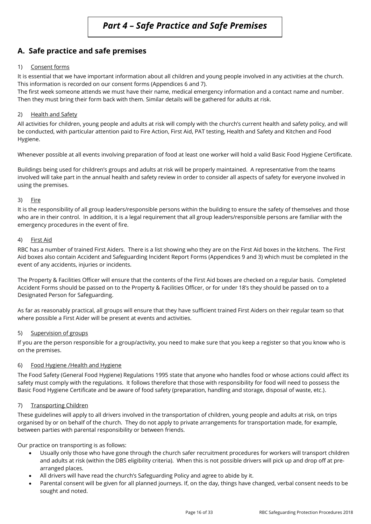# **A. Safe practice and safe premises**

#### 1) Consent forms

It is essential that we have important information about all children and young people involved in any activities at the church. This information is recorded on our consent forms (Appendices 6 and 7).

The first week someone attends we must have their name, medical emergency information and a contact name and number. Then they must bring their form back with them. Similar details will be gathered for adults at risk.

#### 2) Health and Safety

All activities for children, young people and adults at risk will comply with the church's current health and safety policy, and will be conducted, with particular attention paid to Fire Action, First Aid, PAT testing, Health and Safety and Kitchen and Food Hygiene.

Whenever possible at all events involving preparation of food at least one worker will hold a valid Basic Food Hygiene Certificate.

Buildings being used for children's groups and adults at risk will be properly maintained. A representative from the teams involved will take part in the annual health and safety review in order to consider all aspects of safety for everyone involved in using the premises.

#### 3) Fire

It is the responsibility of all group leaders/responsible persons within the building to ensure the safety of themselves and those who are in their control. In addition, it is a legal requirement that all group leaders/responsible persons are familiar with the emergency procedures in the event of fire.

#### 4) First Aid

RBC has a number of trained First Aiders. There is a list showing who they are on the First Aid boxes in the kitchens. The First Aid boxes also contain Accident and Safeguarding Incident Report Forms (Appendices 9 and 3) which must be completed in the event of any accidents, injuries or incidents.

The Property & Facilities Officer will ensure that the contents of the First Aid boxes are checked on a regular basis. Completed Accident Forms should be passed on to the Property & Facilities Officer, or for under 18's they should be passed on to a Designated Person for Safeguarding.

As far as reasonably practical, all groups will ensure that they have sufficient trained First Aiders on their regular team so that where possible a First Aider will be present at events and activities.

#### 5) Supervision of groups

If you are the person responsible for a group/activity, you need to make sure that you keep a register so that you know who is on the premises.

#### 6) Food Hygiene /Health and Hygiene

The Food Safety (General Food Hygiene) Regulations 1995 state that anyone who handles food or whose actions could affect its safety must comply with the regulations. It follows therefore that those with responsibility for food will need to possess the Basic Food Hygiene Certificate and be aware of food safety (preparation, handling and storage, disposal of waste, etc.).

#### 7) Transporting Children

These guidelines will apply to all drivers involved in the transportation of children, young people and adults at risk, on trips organised by or on behalf of the church. They do not apply to private arrangements for transportation made, for example, between parties with parental responsibility or between friends.

Our practice on transporting is as follows:

- Usually only those who have gone through the church safer recruitment procedures for workers will transport children and adults at risk (within the DBS eligibility criteria). When this is not possible drivers will pick up and drop off at prearranged places.
- All drivers will have read the church's Safeguarding Policy and agree to abide by it.
- Parental consent will be given for all planned journeys. If, on the day, things have changed, verbal consent needs to be sought and noted.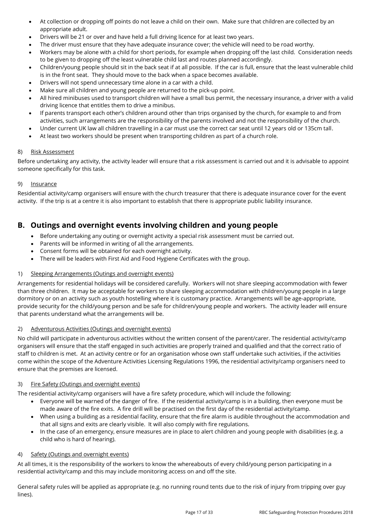- At collection or dropping off points do not leave a child on their own. Make sure that children are collected by an appropriate adult.
- Drivers will be 21 or over and have held a full driving licence for at least two years.
- The driver must ensure that they have adequate insurance cover; the vehicle will need to be road worthy.
- Workers may be alone with a child for short periods, for example when dropping off the last child. Consideration needs to be given to dropping off the least vulnerable child last and routes planned accordingly.
- Children/young people should sit in the back seat if at all possible. If the car is full, ensure that the least vulnerable child is in the front seat. They should move to the back when a space becomes available.
- Drivers will not spend unnecessary time alone in a car with a child.
- Make sure all children and young people are returned to the pick-up point.
- All hired minibuses used to transport children will have a small bus permit, the necessary insurance, a driver with a valid driving licence that entitles them to drive a minibus.
- If parents transport each other's children around other than trips organised by the church, for example to and from activities, such arrangements are the responsibility of the parents involved and not the responsibility of the church.
- Under current UK law all children travelling in a car must use the correct car seat until 12 years old or 135cm tall.
- At least two workers should be present when transporting children as part of a church role.

#### 8) Risk Assessment

Before undertaking any activity, the activity leader will ensure that a risk assessment is carried out and it is advisable to appoint someone specifically for this task.

#### 9) Insurance

Residential activity/camp organisers will ensure with the church treasurer that there is adequate insurance cover for the event activity. If the trip is at a centre it is also important to establish that there is appropriate public liability insurance.

# **B. Outings and overnight events involving children and young people**

- Before undertaking any outing or overnight activity a special risk assessment must be carried out.
- Parents will be informed in writing of all the arrangements.
- Consent forms will be obtained for each overnight activity.
- There will be leaders with First Aid and Food Hygiene Certificates with the group.

#### 1) Sleeping Arrangements (Outings and overnight events)

Arrangements for residential holidays will be considered carefully. Workers will not share sleeping accommodation with fewer than three children. It may be acceptable for workers to share sleeping accommodation with children/young people in a large dormitory or on an activity such as youth hostelling where it is customary practice. Arrangements will be age-appropriate, provide security for the child/young person and be safe for children/young people and workers. The activity leader will ensure that parents understand what the arrangements will be.

#### 2) Adventurous Activities (Outings and overnight events)

No child will participate in adventurous activities without the written consent of the parent/carer. The residential activity/camp organisers will ensure that the staff engaged in such activities are properly trained and qualified and that the correct ratio of staff to children is met. At an activity centre or for an organisation whose own staff undertake such activities, if the activities come within the scope of the Adventure Activities Licensing Regulations 1996, the residential activity/camp organisers need to ensure that the premises are licensed.

#### 3) Fire Safety (Outings and overnight events)

The residential activity/camp organisers will have a fire safety procedure, which will include the following:

- Everyone will be warned of the danger of fire. If the residential activity/camp is in a building, then everyone must be made aware of the fire exits. A fire drill will be practised on the first day of the residential activity/camp.
- When using a building as a residential facility, ensure that the fire alarm is audible throughout the accommodation and that all signs and exits are clearly visible. It will also comply with fire regulations.
- In the case of an emergency, ensure measures are in place to alert children and young people with disabilities (e.g. a child who is hard of hearing).

#### 4) Safety (Outings and overnight events)

At all times, it is the responsibility of the workers to know the whereabouts of every child/young person participating in a residential activity/camp and this may include monitoring access on and off the site.

General safety rules will be applied as appropriate (e.g. no running round tents due to the risk of injury from tripping over guy lines).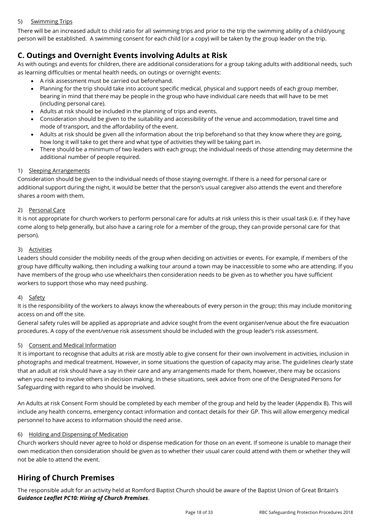#### 5) Swimming Trips

There will be an increased adult to child ratio for all swimming trips and prior to the trip the swimming ability of a child/young person will be established. A swimming consent for each child (or a copy) will be taken by the group leader on the trip.

# **C. Outings and Overnight Events involving Adults at Risk**

As with outings and events for children, there are additional considerations for a group taking adults with additional needs, such as learning difficulties or mental health needs, on outings or overnight events:

- A risk assessment must be carried out beforehand.
- Planning for the trip should take into account specific medical, physical and support needs of each group member, bearing in mind that there may be people in the group who have individual care needs that will have to be met (including personal care).
- Adults at risk should be included in the planning of trips and events.
- Consideration should be given to the suitability and accessibility of the venue and accommodation, travel time and mode of transport, and the affordability of the event.
- Adults at risk should be given all the information about the trip beforehand so that they know where they are going, how long it will take to get there and what type of activities they will be taking part in.
- There should be a minimum of two leaders with each group; the individual needs of those attending may determine the additional number of people required.

#### 1) Sleeping Arrangements

Consideration should be given to the individual needs of those staying overnight. If there is a need for personal care or additional support during the night, it would be better that the person's usual caregiver also attends the event and therefore shares a room with them.

#### 2) Personal Care

It is not appropriate for church workers to perform personal care for adults at risk unless this is their usual task (i.e. if they have come along to help generally, but also have a caring role for a member of the group, they can provide personal care for that person).

#### 3) Activities

Leaders should consider the mobility needs of the group when deciding on activities or events. For example, if members of the group have difficulty walking, then including a walking tour around a town may be inaccessible to some who are attending. If you have members of the group who use wheelchairs then consideration needs to be given as to whether you have sufficient workers to support those who may need pushing.

#### 4) Safety

It is the responsibility of the workers to always know the whereabouts of every person in the group; this may include monitoring access on and off the site.

General safety rules will be applied as appropriate and advice sought from the event organiser/venue about the fire evacuation procedures. A copy of the event/venue risk assessment should be included with the group leader's risk assessment.

#### 5) Consent and Medical Information

It is important to recognise that adults at risk are mostly able to give consent for their own involvement in activities, inclusion in photographs and medical treatment. However, in some situations the question of capacity may arise. The guidelines clearly state that an adult at risk should have a say in their care and any arrangements made for them, however, there may be occasions when you need to involve others in decision making. In these situations, seek advice from one of the Designated Persons for Safeguarding with regard to who should be involved.

An Adults at risk Consent Form should be completed by each member of the group and held by the leader (Appendix 8). This will include any health concerns, emergency contact information and contact details for their GP. This will allow emergency medical personnel to have access to information should the need arise.

#### 6) Holding and Dispensing of Medication

Church workers should never agree to hold or dispense medication for those on an event. If someone is unable to manage their own medication then consideration should be given as to whether their usual carer could attend with them or whether they will not be able to attend the event.

# **Hiring of Church Premises**

The responsible adult for an activity held at Romford Baptist Church should be aware of the Baptist Union of Great Britain's *Guidance Leaflet PC10: Hiring of Church Premises*.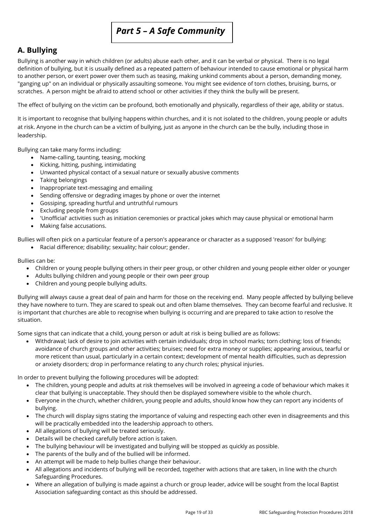# *Part 5 – A Safe Community*

# **A. Bullying**

Bullying is another way in which children (or adults) abuse each other, and it can be verbal or physical. There is no legal definition of bullying, but it is usually defined as a repeated pattern of behaviour intended to cause emotional or physical harm to another person, or exert power over them such as teasing, making unkind comments about a person, demanding money, "ganging up" on an individual or physically assaulting someone. You might see evidence of torn clothes, bruising, burns, or scratches. A person might be afraid to attend school or other activities if they think the bully will be present.

The effect of bullying on the victim can be profound, both emotionally and physically, regardless of their age, ability or status.

It is important to recognise that bullying happens within churches, and it is not isolated to the children, young people or adults at risk. Anyone in the church can be a victim of bullying, just as anyone in the church can be the bully, including those in leadership.

Bullying can take many forms including:

- Name-calling, taunting, teasing, mocking
- Kicking, hitting, pushing, intimidating
- Unwanted physical contact of a sexual nature or sexually abusive comments
- Taking belongings
- Inappropriate text-messaging and emailing
- Sending offensive or degrading images by phone or over the internet
- Gossiping, spreading hurtful and untruthful rumours
- Excluding people from groups
- 'Unofficial' activities such as initiation ceremonies or practical jokes which may cause physical or emotional harm
- Making false accusations.

Bullies will often pick on a particular feature of a person's appearance or character as a supposed 'reason' for bullying:

• Racial difference; disability; sexuality; hair colour; gender.

Bullies can be:

- Children or young people bullying others in their peer group, or other children and young people either older or younger
- Adults bullying children and young people or their own peer group
- Children and young people bullying adults.

Bullying will always cause a great deal of pain and harm for those on the receiving end. Many people affected by bullying believe they have nowhere to turn. They are scared to speak out and often blame themselves. They can become fearful and reclusive. It is important that churches are able to recognise when bullying is occurring and are prepared to take action to resolve the situation.

Some signs that can indicate that a child, young person or adult at risk is being bullied are as follows:

• Withdrawal; lack of desire to join activities with certain individuals; drop in school marks; torn clothing; loss of friends; avoidance of church groups and other activities; bruises; need for extra money or supplies; appearing anxious, tearful or more reticent than usual, particularly in a certain context; development of mental health difficulties, such as depression or anxiety disorders; drop in performance relating to any church roles; physical injuries.

In order to prevent bullying the following procedures will be adopted:

- The children, young people and adults at risk themselves will be involved in agreeing a code of behaviour which makes it clear that bullying is unacceptable. They should then be displayed somewhere visible to the whole church.
- Everyone in the church, whether children, young people and adults, should know how they can report any incidents of bullying.
- The church will display signs stating the importance of valuing and respecting each other even in disagreements and this will be practically embedded into the leadership approach to others.
- All allegations of bullying will be treated seriously.
- Details will be checked carefully before action is taken.
- The bullying behaviour will be investigated and bullying will be stopped as quickly as possible.
- The parents of the bully and of the bullied will be informed.
- An attempt will be made to help bullies change their behaviour.
- All allegations and incidents of bullying will be recorded, together with actions that are taken, in line with the church Safeguarding Procedures.
- Where an allegation of bullying is made against a church or group leader, advice will be sought from the local Baptist Association safeguarding contact as this should be addressed.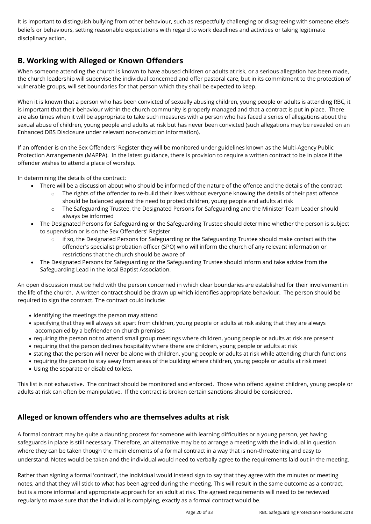It is important to distinguish bullying from other behaviour, such as respectfully challenging or disagreeing with someone else's beliefs or behaviours, setting reasonable expectations with regard to work deadlines and activities or taking legitimate disciplinary action.

# **B. Working with Alleged or Known Offenders**

When someone attending the church is known to have abused children or adults at risk, or a serious allegation has been made, the church leadership will supervise the individual concerned and offer pastoral care, but in its commitment to the protection of vulnerable groups, will set boundaries for that person which they shall be expected to keep.

When it is known that a person who has been convicted of sexually abusing children, young people or adults is attending RBC, it is important that their behaviour within the church community is properly managed and that a contract is put in place. There are also times when it will be appropriate to take such measures with a person who has faced a series of allegations about the sexual abuse of children, young people and adults at risk but has never been convicted (such allegations may be revealed on an Enhanced DBS Disclosure under relevant non-conviction information).

If an offender is on the Sex Offenders' Register they will be monitored under guidelines known as the Multi-Agency Public Protection Arrangements (MAPPA). In the latest guidance, there is provision to require a written contract to be in place if the offender wishes to attend a place of worship.

In determining the details of the contract:

- There will be a discussion about who should be informed of the nature of the offence and the details of the contract
	- The rights of the offender to re-build their lives without everyone knowing the details of their past offence should be balanced against the need to protect children, young people and adults at risk
	- o The Safeguarding Trustee, the Designated Persons for Safeguarding and the Minister Team Leader should always be informed
- The Designated Persons for Safeguarding or the Safeguarding Trustee should determine whether the person is subject to supervision or is on the Sex Offenders' Register
	- $\circ$  if so, the Designated Persons for Safeguarding or the Safeguarding Trustee should make contact with the offender's specialist probation officer (SPO) who will inform the church of any relevant information or restrictions that the church should be aware of
- The Designated Persons for Safeguarding or the Safeguarding Trustee should inform and take advice from the Safeguarding Lead in the local Baptist Association.

An open discussion must be held with the person concerned in which clear boundaries are established for their involvement in the life of the church. A written contract should be drawn up which identifies appropriate behaviour. The person should be required to sign the contract. The contract could include:

- identifying the meetings the person may attend
- specifying that they will always sit apart from children, young people or adults at risk asking that they are always accompanied by a befriender on church premises
- requiring the person not to attend small group meetings where children, young people or adults at risk are present
- requiring that the person declines hospitality where there are children, young people or adults at risk
- stating that the person will never be alone with children, young people or adults at risk while attending church functions
- requiring the person to stay away from areas of the building where children, young people or adults at risk meet
- Using the separate or disabled toilets.

This list is not exhaustive. The contract should be monitored and enforced. Those who offend against children, young people or adults at risk can often be manipulative. If the contract is broken certain sanctions should be considered.

# **Alleged or known offenders who are themselves adults at risk**

A formal contract may be quite a daunting process for someone with learning difficulties or a young person, yet having safeguards in place is still necessary. Therefore, an alternative may be to arrange a meeting with the individual in question where they can be taken though the main elements of a formal contract in a way that is non-threatening and easy to understand. Notes would be taken and the individual would need to verbally agree to the requirements laid out in the meeting.

Rather than signing a formal 'contract', the individual would instead sign to say that they agree with the minutes or meeting notes, and that they will stick to what has been agreed during the meeting. This will result in the same outcome as a contract, but is a more informal and appropriate approach for an adult at risk. The agreed requirements will need to be reviewed regularly to make sure that the individual is complying, exactly as a formal contract would be.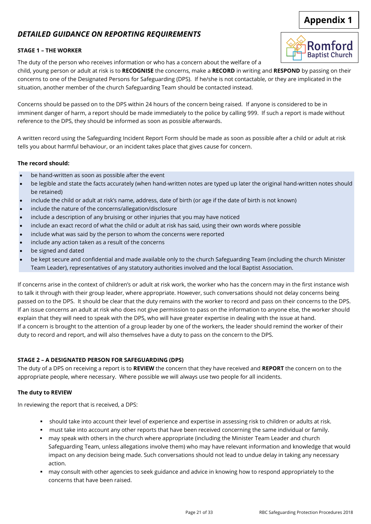# **Appendix 1**

# *DETAILED GUIDANCE ON REPORTING REQUIREMENTS*

### **STAGE 1 – THE WORKER**

The duty of the person who receives information or who has a concern about the welfare of a

child, young person or adult at risk is to **RECOGNISE** the concerns, make a **RECORD** in writing and **RESPOND** by passing on their concerns to one of the Designated Persons for Safeguarding (DPS). If he/she is not contactable, or they are implicated in the situation, another member of the church Safeguarding Team should be contacted instead.

Concerns should be passed on to the DPS within 24 hours of the concern being raised. If anyone is considered to be in imminent danger of harm, a report should be made immediately to the police by calling 999. If such a report is made without reference to the DPS, they should be informed as soon as possible afterwards.

A written record using the Safeguarding Incident Report Form should be made as soon as possible after a child or adult at risk tells you about harmful behaviour, or an incident takes place that gives cause for concern.

### **The record should:**

- be hand-written as soon as possible after the event
- be legible and state the facts accurately (when hand-written notes are typed up later the original hand-written notes should be retained)
- include the child or adult at risk's name, address, date of birth (or age if the date of birth is not known)
- include the nature of the concerns/allegation/disclosure
- include a description of any bruising or other injuries that you may have noticed
- include an exact record of what the child or adult at risk has said, using their own words where possible
- include what was said by the person to whom the concerns were reported
- include any action taken as a result of the concerns
- be signed and dated
- be kept secure and confidential and made available only to the church Safeguarding Team (including the church Minister Team Leader), representatives of any statutory authorities involved and the local Baptist Association.

If concerns arise in the context of children's or adult at risk work, the worker who has the concern may in the first instance wish to talk it through with their group leader, where appropriate. However, such conversations should not delay concerns being passed on to the DPS. It should be clear that the duty remains with the worker to record and pass on their concerns to the DPS. If an issue concerns an adult at risk who does not give permission to pass on the information to anyone else, the worker should explain that they will need to speak with the DPS, who will have greater expertise in dealing with the issue at hand. If a concern is brought to the attention of a group leader by one of the workers, the leader should remind the worker of their duty to record and report, and will also themselves have a duty to pass on the concern to the DPS.

# **STAGE 2 – A DESIGNATED PERSON FOR SAFEGUARDING (DPS)**

The duty of a DPS on receiving a report is to **REVIEW** the concern that they have received and **REPORT** the concern on to the appropriate people, where necessary. Where possible we will always use two people for all incidents.

### **The duty to REVIEW**

In reviewing the report that is received, a DPS:

- should take into account their level of experience and expertise in assessing risk to children or adults at risk.
- must take into account any other reports that have been received concerning the same individual or family.
- may speak with others in the church where appropriate (including the Minister Team Leader and church Safeguarding Team, unless allegations involve them) who may have relevant information and knowledge that would impact on any decision being made. Such conversations should not lead to undue delay in taking any necessary action.
- may consult with other agencies to seek guidance and advice in knowing how to respond appropriately to the concerns that have been raised.

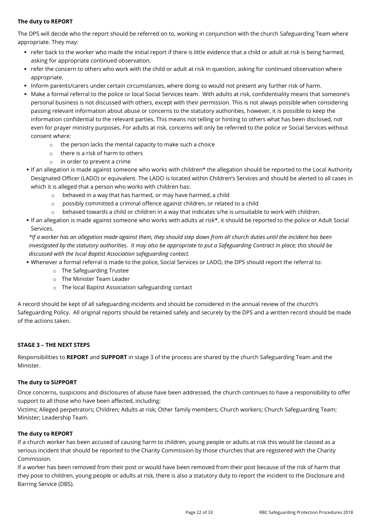#### **The duty to REPORT**

The DPS will decide who the report should be referred on to, working in conjunction with the church Safeguarding Team where appropriate. They may:

- refer back to the worker who made the initial report if there is little evidence that a child or adult at risk is being harmed, asking for appropriate continued observation.
- refer the concern to others who work with the child or adult at risk in question, asking for continued observation where appropriate.
- Inform parents/carers under certain circumstances, where doing so would not present any further risk of harm.
- Make a formal referral to the police or local Social Services team. With adults at risk, confidentiality means that someone's personal business is not discussed with others, except with their permission. This is not always possible when considering passing relevant information about abuse or concerns to the statutory authorities, however, it is possible to keep the information confidential to the relevant parties. This means not telling or hinting to others what has been disclosed, not even for prayer ministry purposes. For adults at risk, concerns will only be referred to the police or Social Services without consent where:
	- o the person lacks the mental capacity to make such a choice
	- o there is a risk of harm to others
	- o in order to prevent a crime
- If an allegation is made against someone who works with children\* the allegation should be reported to the Local Authority Designated Officer (LADO) or equivalent. The LADO is located within Children's Services and should be alerted to all cases in which it is alleged that a person who works with children has:
	- o behaved in a way that has harmed, or may have harmed, a child
	- o possibly committed a criminal offence against children, or related to a child
	- $\circ$  behaved towards a child or children in a way that indicates s/he is unsuitable to work with children.
- If an allegation is made against someone who works with adults at risk\*, it should be reported to the police or Adult Social Services.

*\*If a worker has an allegation made against them, they should step down from all church duties until the incident has been investigated by the statutory authorities. It may also be appropriate to put a Safeguarding Contract in place; this should be discussed with the local Baptist Association safeguarding contact.*

- Whenever a formal referral is made to the police, Social Services or LADO, the DPS should report the referral to:
	- o The Safeguarding Trustee
	- o The Minister Team Leader
	- o The local Baptist Association safeguarding contact

A record should be kept of all safeguarding incidents and should be considered in the annual review of the church's Safeguarding Policy. All original reports should be retained safely and securely by the DPS and a written record should be made of the actions taken.

#### **STAGE 3 – THE NEXT STEPS**

Responsibilities to **REPORT** and **SUPPORT** in stage 3 of the process are shared by the church Safeguarding Team and the Minister.

#### **The duty to SUPPORT**

Once concerns, suspicions and disclosures of abuse have been addressed, the church continues to have a responsibility to offer support to all those who have been affected, including:

Victims; Alleged perpetrators; Children; Adults at risk; Other family members; Church workers; Church Safeguarding Team; Minister; Leadership Team.

#### **The duty to REPORT**

If a church worker has been accused of causing harm to children, young people or adults at risk this would be classed as a serious incident that should be reported to the Charity Commission by those churches that are registered with the Charity Commission.

If a worker has been removed from their post or would have been removed from their post because of the risk of harm that they pose to children, young people or adults at risk, there is also a statutory duty to report the incident to the Disclosure and Barring Service (DBS).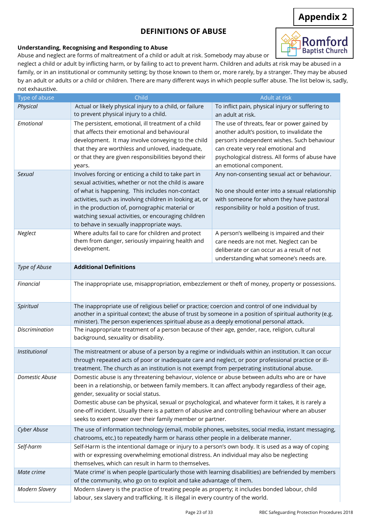# **DEFINITIONS OF ABUSE**

# **Appendix 2**

Romford

#### **Understanding, Recognising and Responding to Abuse**

Abuse and neglect are forms of maltreatment of a child or adult at risk. Somebody may abuse or

**Baptist Church** neglect a child or adult by inflicting harm, or by failing to act to prevent harm. Children and adults at risk may be abused in a family, or in an institutional or community setting; by those known to them or, more rarely, by a stranger. They may be abused by an adult or adults or a child or children. There are many different ways in which people suffer abuse. The list below is, sadly, not exhaustive.

| Type of abuse         | Child                                                                                                    | Adult at risk                                    |
|-----------------------|----------------------------------------------------------------------------------------------------------|--------------------------------------------------|
| Physical              | Actual or likely physical injury to a child, or failure                                                  | To inflict pain, physical injury or suffering to |
|                       | to prevent physical injury to a child.                                                                   | an adult at risk.                                |
| Emotional             | The persistent, emotional, ill treatment of a child                                                      | The use of threats, fear or power gained by      |
|                       | that affects their emotional and behavioural                                                             | another adult's position, to invalidate the      |
|                       | development. It may involve conveying to the child                                                       | person's independent wishes. Such behaviour      |
|                       | that they are worthless and unloved, inadequate,                                                         | can create very real emotional and               |
|                       | or that they are given responsibilities beyond their                                                     | psychological distress. All forms of abuse have  |
|                       | years.                                                                                                   | an emotional component.                          |
| Sexual                | Involves forcing or enticing a child to take part in                                                     | Any non-consenting sexual act or behaviour.      |
|                       | sexual activities, whether or not the child is aware                                                     |                                                  |
|                       | of what is happening. This includes non-contact                                                          | No one should enter into a sexual relationship   |
|                       | activities, such as involving children in looking at, or                                                 | with someone for whom they have pastoral         |
|                       | in the production of, pornographic material or                                                           | responsibility or hold a position of trust.      |
|                       | watching sexual activities, or encouraging children                                                      |                                                  |
|                       |                                                                                                          |                                                  |
|                       | to behave in sexually inappropriate ways.                                                                |                                                  |
| Neglect               | Where adults fail to care for children and protect                                                       | A person's wellbeing is impaired and their       |
|                       | them from danger, seriously impairing health and<br>development.                                         | care needs are not met. Neglect can be           |
|                       |                                                                                                          | deliberate or can occur as a result of not       |
|                       |                                                                                                          | understanding what someone's needs are.          |
| Type of Abuse         | <b>Additional Definitions</b>                                                                            |                                                  |
| Financial             |                                                                                                          |                                                  |
|                       | The inappropriate use, misappropriation, embezzlement or theft of money, property or possessions.        |                                                  |
| Spiritual             | The inappropriate use of religious belief or practice; coercion and control of one individual by         |                                                  |
|                       | another in a spiritual context; the abuse of trust by someone in a position of spiritual authority (e.g. |                                                  |
|                       | minister). The person experiences spiritual abuse as a deeply emotional personal attack.                 |                                                  |
| <b>Discrimination</b> | The inappropriate treatment of a person because of their age, gender, race, religion, cultural           |                                                  |
|                       | background, sexuality or disability.                                                                     |                                                  |
| Institutional         | The mistreatment or abuse of a person by a regime or individuals within an institution. It can occur     |                                                  |
|                       | through repeated acts of poor or inadequate care and neglect, or poor professional practice or ill-      |                                                  |
|                       | treatment. The church as an institution is not exempt from perpetrating institutional abuse.             |                                                  |
| Domestic Abuse        | Domestic abuse is any threatening behaviour, violence or abuse between adults who are or have            |                                                  |
|                       | been in a relationship, or between family members. It can affect anybody regardless of their age,        |                                                  |
|                       | gender, sexuality or social status.                                                                      |                                                  |
|                       | Domestic abuse can be physical, sexual or psychological, and whatever form it takes, it is rarely a      |                                                  |
|                       | one-off incident. Usually there is a pattern of abusive and controlling behaviour where an abuser        |                                                  |
|                       | seeks to exert power over their family member or partner.                                                |                                                  |
| Cyber Abuse           | The use of information technology (email, mobile phones, websites, social media, instant messaging,      |                                                  |
|                       | chatrooms, etc.) to repeatedly harm or harass other people in a deliberate manner.                       |                                                  |
| Self-harm             | Self-Harm is the intentional damage or injury to a person's own body. It is used as a way of coping      |                                                  |
|                       | with or expressing overwhelming emotional distress. An individual may also be neglecting                 |                                                  |
|                       | themselves, which can result in harm to themselves.                                                      |                                                  |
| Mate crime            | 'Mate crime' is when people (particularly those with learning disabilities) are befriended by members    |                                                  |
|                       | of the community, who go on to exploit and take advantage of them.                                       |                                                  |
| <b>Modern Slavery</b> | Modern slavery is the practice of treating people as property; it includes bonded labour, child          |                                                  |
|                       | labour, sex slavery and trafficking. It is illegal in every country of the world.                        |                                                  |
|                       |                                                                                                          |                                                  |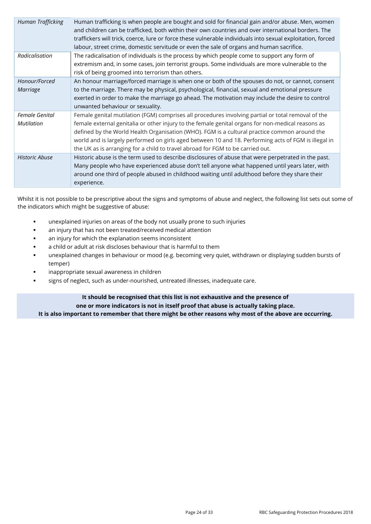| Human Trafficking                   | Human trafficking is when people are bought and sold for financial gain and/or abuse. Men, women<br>and children can be trafficked, both within their own countries and over international borders. The<br>traffickers will trick, coerce, lure or force these vulnerable individuals into sexual exploitation, forced<br>labour, street crime, domestic servitude or even the sale of organs and human sacrifice.                                                                                |
|-------------------------------------|---------------------------------------------------------------------------------------------------------------------------------------------------------------------------------------------------------------------------------------------------------------------------------------------------------------------------------------------------------------------------------------------------------------------------------------------------------------------------------------------------|
| Radicalisation                      | The radicalisation of individuals is the process by which people come to support any form of<br>extremism and, in some cases, join terrorist groups. Some individuals are more vulnerable to the<br>risk of being groomed into terrorism than others.                                                                                                                                                                                                                                             |
| Honour/Forced<br><b>Marriage</b>    | An honour marriage/forced marriage is when one or both of the spouses do not, or cannot, consent<br>to the marriage. There may be physical, psychological, financial, sexual and emotional pressure<br>exerted in order to make the marriage go ahead. The motivation may include the desire to control<br>unwanted behaviour or sexuality.                                                                                                                                                       |
| Female Genital<br><b>Mutilation</b> | Female genital mutilation (FGM) comprises all procedures involving partial or total removal of the<br>female external genitalia or other injury to the female genital organs for non-medical reasons as<br>defined by the World Health Organisation (WHO). FGM is a cultural practice common around the<br>world and is largely performed on girls aged between 10 and 18. Performing acts of FGM is illegal in<br>the UK as is arranging for a child to travel abroad for FGM to be carried out. |
| <b>Historic Abuse</b>               | Historic abuse is the term used to describe disclosures of abuse that were perpetrated in the past.<br>Many people who have experienced abuse don't tell anyone what happened until years later, with<br>around one third of people abused in childhood waiting until adulthood before they share their<br>experience.                                                                                                                                                                            |

Whilst it is not possible to be prescriptive about the signs and symptoms of abuse and neglect, the following list sets out some of the indicators which might be suggestive of abuse:

- unexplained injuries on areas of the body not usually prone to such injuries
- **■** an injury that has not been treated/received medical attention
- an injury for which the explanation seems inconsistent
- a child or adult at risk discloses behaviour that is harmful to them
- unexplained changes in behaviour or mood (e.g. becoming very quiet, withdrawn or displaying sudden bursts of temper)
- inappropriate sexual awareness in children
- signs of neglect, such as under-nourished, untreated illnesses, inadequate care.

**It should be recognised that this list is not exhaustive and the presence of one or more indicators is not in itself proof that abuse is actually taking place. It is also important to remember that there might be other reasons why most of the above are occurring.**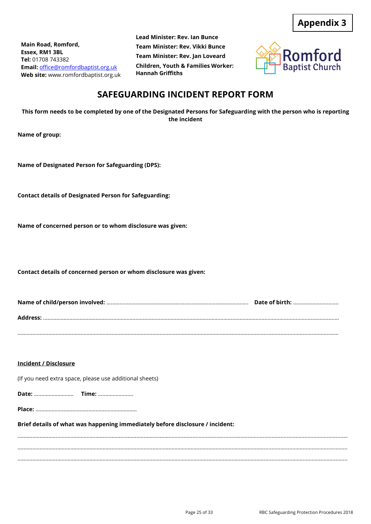**Main Road, Romford, Essex, RM1 3BL Tel:** 01708 743382 **Email:** [office@romfordbaptist.org.uk](mailto:office@romfordbaptist.org.uk) **Web site:** www.romfordbaptist.org.uk **Lead Minister: Rev. Ian Bunce Team Minister: Rev. Vikki Bunce Team Minister: Rev. Jan Loveard Children, Youth & Families Worker: Hannah Griffiths**



# **SAFEGUARDING INCIDENT REPORT FORM**

**This form needs to be completed by one of the Designated Persons for Safeguarding with the person who is reporting the incident**

**Name of group:** 

**Name of Designated Person for Safeguarding (DPS):**

**Contact details of Designated Person for Safeguarding:**

**Name of concerned person or to whom disclosure was given:**

**Contact details of concerned person or whom disclosure was given:**

| Date of birth: |
|----------------|
|                |
|                |

#### **Incident / Disclosure**

(If you need extra space, please use additional sheets)

**Date:** ……………………… **Time:** ………..………….

**Place:** …………………………...………………………………

#### **Brief details of what was happening immediately before disclosure / incident:**

………………………………..…………………….……………………………………...................................................................................................................... ……………………………………………………………………………………………………………………………………………………….....................................................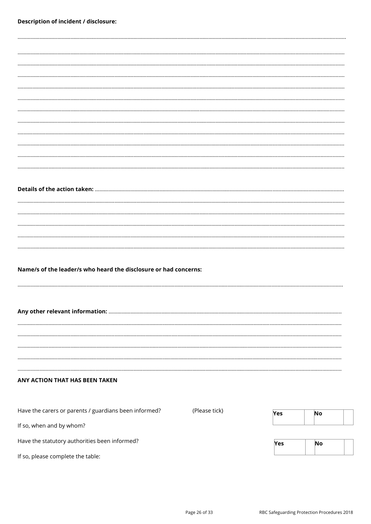| Name/s of the leader/s who heard the disclosure or had concerns: |               |     |           |  |
|------------------------------------------------------------------|---------------|-----|-----------|--|
|                                                                  |               |     |           |  |
|                                                                  |               |     |           |  |
|                                                                  |               |     |           |  |
|                                                                  |               |     |           |  |
|                                                                  |               |     |           |  |
|                                                                  |               |     |           |  |
|                                                                  |               |     |           |  |
|                                                                  |               |     |           |  |
|                                                                  |               |     |           |  |
|                                                                  |               |     |           |  |
|                                                                  |               |     |           |  |
| ANY ACTION THAT HAS BEEN TAKEN                                   |               |     |           |  |
|                                                                  |               |     |           |  |
|                                                                  |               |     |           |  |
|                                                                  |               |     |           |  |
| Have the carers or parents / guardians been informed?            | (Please tick) | Yes | No        |  |
| If so, when and by whom?                                         |               |     |           |  |
|                                                                  |               |     |           |  |
| Have the statutory authorities been informed?                    |               | Yes | <b>No</b> |  |
|                                                                  |               |     |           |  |
| If so, please complete the table:                                |               |     |           |  |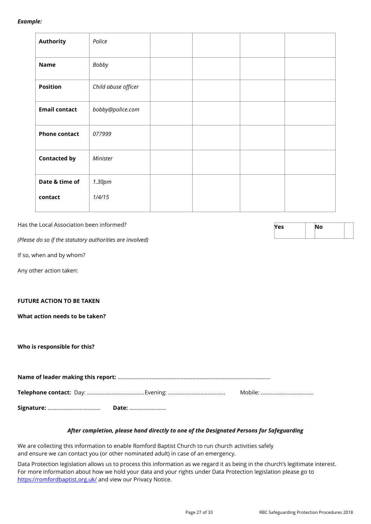#### *Example:*

| <b>Authority</b>     | Police              |  |
|----------------------|---------------------|--|
| <b>Name</b>          | Bobby               |  |
| <b>Position</b>      | Child abuse officer |  |
| <b>Email contact</b> | bobby@police.com    |  |
| <b>Phone contact</b> | 077999              |  |
| <b>Contacted by</b>  | Minister            |  |
| Date & time of       | 1.30pm              |  |
| contact              | 1/4/15              |  |

Has the Local Association been informed?

*(Please do so if the statutory authorities are involved)*

If so, when and by whom?

Any other action taken:

#### **FUTURE ACTION TO BE TAKEN**

**What action needs to be taken?**

#### **Who is responsible for this?**

#### *After completion, please hand directly to one of the Designated Persons for Safeguarding*

We are collecting this information to enable Romford Baptist Church to run church activities safely and ensure we can contact you (or other nominated adult) in case of an emergency.

Data Protection legislation allows us to process this information as we regard it as being in the church's legitimate interest. For more information about how we hold your data and your rights under Data Protection legislation please go to <https://romfordbaptist.org.uk/> and view our Privacy Notice.

| Yes | No |  |  |
|-----|----|--|--|
|     |    |  |  |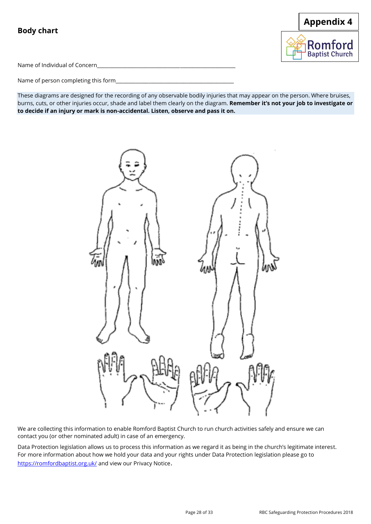# **Body chart**



Name of Individual of Concern\_\_\_\_\_\_\_\_\_\_\_\_\_\_\_\_\_\_\_\_\_\_\_\_\_\_\_\_\_\_\_\_\_\_\_\_\_\_\_\_\_\_\_\_\_\_\_\_\_\_\_\_\_\_\_

Name of person completing this form\_\_\_\_\_

These diagrams are designed for the recording of any observable bodily injuries that may appear on the person. Where bruises, burns, cuts, or other injuries occur, shade and label them clearly on the diagram. **Remember it's not your job to investigate or to decide if an injury or mark is non-accidental. Listen, observe and pass it on.**



We are collecting this information to enable Romford Baptist Church to run church activities safely and ensure we can contact you (or other nominated adult) in case of an emergency.

Data Protection legislation allows us to process this information as we regard it as being in the church's legitimate interest. For more information about how we hold your data and your rights under Data Protection legislation please go to <https://romfordbaptist.org.uk/> and view our Privacy Notice.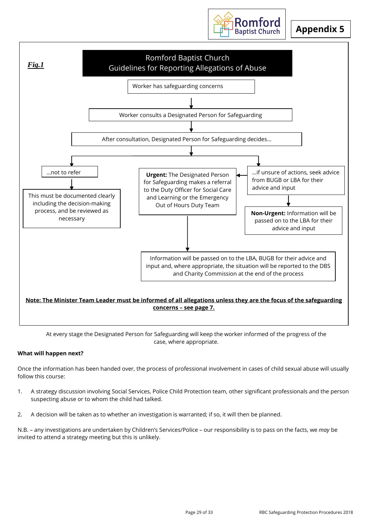

# **Appendix 5**



At every stage the Designated Person for Safeguarding will keep the worker informed of the progress of the case, where appropriate.

#### **What will happen next?**

Once the information has been handed over, the process of professional involvement in cases of child sexual abuse will usually follow this course:

- 1. A strategy discussion involving Social Services, Police Child Protection team, other significant professionals and the person suspecting abuse or to whom the child had talked.
- 2. A decision will be taken as to whether an investigation is warranted; if so, it will then be planned.

N.B. – any investigations are undertaken by Children's Services/Police – our responsibility is to pass on the facts, we *may* be invited to attend a strategy meeting but this is unlikely.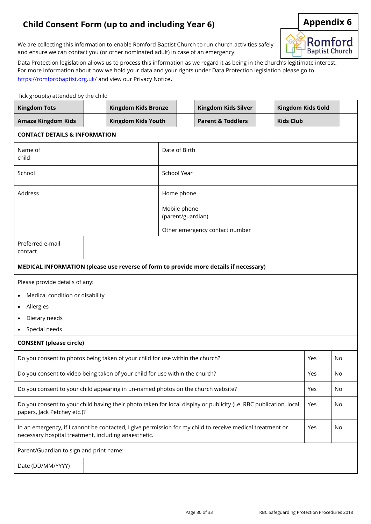# **Child Consent Form (up to and including Year 6) Appendix 6**



We are collecting this information to enable Romford Baptist Church to run church activities safely and ensure we can contact you (or other nominated adult) in case of an emergency.

Data Protection legislation allows us to process this information as we regard it as being in the church's legitimate interest. For more information about how we hold your data and your rights under Data Protection legislation please go to <https://romfordbaptist.org.uk/> and view our Privacy Notice.

#### Tick group(s) attended by the child

| $\frac{1}{2}$ . $\frac{1}{2}$ . $\frac{1}{2}$ . $\frac{1}{2}$ . $\frac{1}{2}$ . $\frac{1}{2}$ . $\frac{1}{2}$ . $\frac{1}{2}$<br><b>Kingdom Tots</b> | <b>Kingdom Kids Bronze</b>                                                                                                                                                     |  |                                                                                  |                                   | Kingdom Kids Silver |                                                                                                                   | Kingdom Kids Gold |     |    |
|------------------------------------------------------------------------------------------------------------------------------------------------------|--------------------------------------------------------------------------------------------------------------------------------------------------------------------------------|--|----------------------------------------------------------------------------------|-----------------------------------|---------------------|-------------------------------------------------------------------------------------------------------------------|-------------------|-----|----|
| <b>Amaze Kingdom Kids</b>                                                                                                                            |                                                                                                                                                                                |  | <b>Kingdom Kids Youth</b>                                                        |                                   |                     | <b>Parent &amp; Toddlers</b>                                                                                      | <b>Kids Club</b>  |     |    |
|                                                                                                                                                      | <b>CONTACT DETAILS &amp; INFORMATION</b>                                                                                                                                       |  |                                                                                  |                                   |                     |                                                                                                                   |                   |     |    |
| Name of<br>child                                                                                                                                     |                                                                                                                                                                                |  |                                                                                  | Date of Birth                     |                     |                                                                                                                   |                   |     |    |
| School                                                                                                                                               |                                                                                                                                                                                |  |                                                                                  | School Year                       |                     |                                                                                                                   |                   |     |    |
| Address                                                                                                                                              |                                                                                                                                                                                |  |                                                                                  | Home phone                        |                     |                                                                                                                   |                   |     |    |
|                                                                                                                                                      |                                                                                                                                                                                |  |                                                                                  | Mobile phone<br>(parent/guardian) |                     |                                                                                                                   |                   |     |    |
|                                                                                                                                                      |                                                                                                                                                                                |  |                                                                                  |                                   |                     | Other emergency contact number                                                                                    |                   |     |    |
| Preferred e-mail<br>contact                                                                                                                          |                                                                                                                                                                                |  |                                                                                  |                                   |                     |                                                                                                                   |                   |     |    |
|                                                                                                                                                      |                                                                                                                                                                                |  |                                                                                  |                                   |                     | MEDICAL INFORMATION (please use reverse of form to provide more details if necessary)                             |                   |     |    |
| Please provide details of any:                                                                                                                       |                                                                                                                                                                                |  |                                                                                  |                                   |                     |                                                                                                                   |                   |     |    |
|                                                                                                                                                      | Medical condition or disability                                                                                                                                                |  |                                                                                  |                                   |                     |                                                                                                                   |                   |     |    |
| Allergies                                                                                                                                            |                                                                                                                                                                                |  |                                                                                  |                                   |                     |                                                                                                                   |                   |     |    |
| Dietary needs                                                                                                                                        |                                                                                                                                                                                |  |                                                                                  |                                   |                     |                                                                                                                   |                   |     |    |
| Special needs                                                                                                                                        |                                                                                                                                                                                |  |                                                                                  |                                   |                     |                                                                                                                   |                   |     |    |
| <b>CONSENT</b> (please circle)                                                                                                                       |                                                                                                                                                                                |  |                                                                                  |                                   |                     |                                                                                                                   |                   |     |    |
|                                                                                                                                                      |                                                                                                                                                                                |  | Do you consent to photos being taken of your child for use within the church?    |                                   |                     |                                                                                                                   |                   | Yes | No |
|                                                                                                                                                      |                                                                                                                                                                                |  | Do you consent to video being taken of your child for use within the church?     |                                   |                     |                                                                                                                   |                   | Yes | No |
|                                                                                                                                                      |                                                                                                                                                                                |  | Do you consent to your child appearing in un-named photos on the church website? |                                   |                     |                                                                                                                   |                   | Yes | No |
| papers, Jack Petchey etc.)?                                                                                                                          |                                                                                                                                                                                |  |                                                                                  |                                   |                     | Do you consent to your child having their photo taken for local display or publicity (i.e. RBC publication, local |                   | Yes | No |
|                                                                                                                                                      | In an emergency, if I cannot be contacted, I give permission for my child to receive medical treatment or<br>Yes<br>No<br>necessary hospital treatment, including anaesthetic. |  |                                                                                  |                                   |                     |                                                                                                                   |                   |     |    |
| Parent/Guardian to sign and print name:                                                                                                              |                                                                                                                                                                                |  |                                                                                  |                                   |                     |                                                                                                                   |                   |     |    |
| Date (DD/MM/YYYY)                                                                                                                                    |                                                                                                                                                                                |  |                                                                                  |                                   |                     |                                                                                                                   |                   |     |    |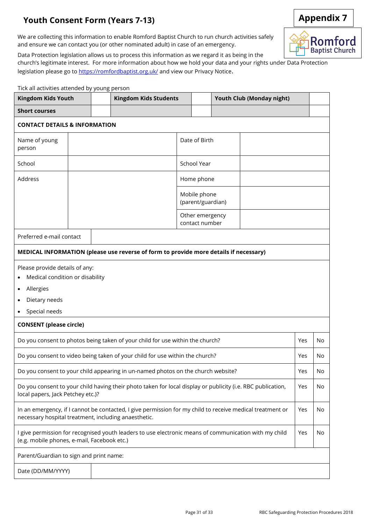# **Youth Consent Form (Years 7-13) Appendix 7**



Data Protection legislation allows us to process this information as we regard it as being in the

church's legitimate interest. For more information about how we hold your data and your rights under Data Protection legislation please go t[o https://romfordbaptist.org.uk/](https://romfordbaptist.org.uk/) and view our Privacy Notice.

| <b>Kingdom Kids Youth</b><br><b>Kingdom Kids Students</b>                                                                                                         |  |  |                                                                                       | Youth Club (Monday night) |                                   |    |     |     |
|-------------------------------------------------------------------------------------------------------------------------------------------------------------------|--|--|---------------------------------------------------------------------------------------|---------------------------|-----------------------------------|----|-----|-----|
| <b>Short courses</b>                                                                                                                                              |  |  |                                                                                       |                           |                                   |    |     |     |
| <b>CONTACT DETAILS &amp; INFORMATION</b>                                                                                                                          |  |  |                                                                                       |                           |                                   |    |     |     |
| Name of young<br>person                                                                                                                                           |  |  |                                                                                       |                           | Date of Birth                     |    |     |     |
| School                                                                                                                                                            |  |  |                                                                                       |                           | School Year                       |    |     |     |
| Address                                                                                                                                                           |  |  |                                                                                       |                           | Home phone                        |    |     |     |
|                                                                                                                                                                   |  |  |                                                                                       |                           | Mobile phone<br>(parent/guardian) |    |     |     |
|                                                                                                                                                                   |  |  |                                                                                       |                           | Other emergency<br>contact number |    |     |     |
| Preferred e-mail contact                                                                                                                                          |  |  |                                                                                       |                           |                                   |    |     |     |
|                                                                                                                                                                   |  |  | MEDICAL INFORMATION (please use reverse of form to provide more details if necessary) |                           |                                   |    |     |     |
| Please provide details of any:<br>Medical condition or disability<br>٠<br>Allergies<br>$\bullet$<br>Dietary needs<br>Special needs                                |  |  |                                                                                       |                           |                                   |    |     |     |
| <b>CONSENT</b> (please circle)                                                                                                                                    |  |  |                                                                                       |                           |                                   |    |     |     |
|                                                                                                                                                                   |  |  | Do you consent to photos being taken of your child for use within the church?         |                           |                                   |    | Yes | No. |
|                                                                                                                                                                   |  |  | Do you consent to video being taken of your child for use within the church?          |                           |                                   |    | Yes | No  |
|                                                                                                                                                                   |  |  | Do you consent to your child appearing in un-named photos on the church website?      |                           |                                   |    | Yes | No  |
| Do you consent to your child having their photo taken for local display or publicity (i.e. RBC publication,<br>local papers, Jack Petchey etc.)?                  |  |  |                                                                                       |                           | Yes                               | No |     |     |
| In an emergency, if I cannot be contacted, I give permission for my child to receive medical treatment or<br>necessary hospital treatment, including anaesthetic. |  |  |                                                                                       |                           | Yes                               | No |     |     |
| I give permission for recognised youth leaders to use electronic means of communication with my child<br>(e.g. mobile phones, e-mail, Facebook etc.)              |  |  |                                                                                       | Yes                       | No                                |    |     |     |
| Parent/Guardian to sign and print name:                                                                                                                           |  |  |                                                                                       |                           |                                   |    |     |     |
| Date (DD/MM/YYYY)                                                                                                                                                 |  |  |                                                                                       |                           |                                   |    |     |     |



Romford **Baptist Church** 

Tick all activities attended by young person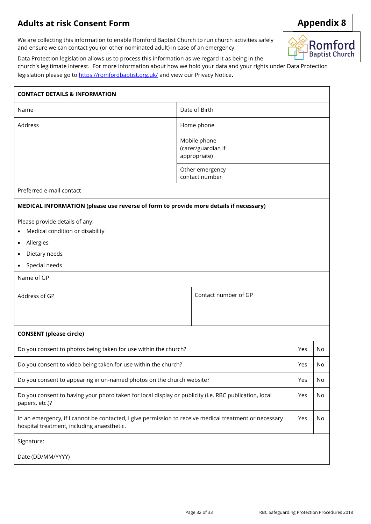# **Adults at risk Consent Form**

We are collecting this information to enable Romford Baptist Church to run church activities safely and ensure we can contact you (or other nominated adult) in case of an emergency.



Data Protection legislation allows us to process this information as we regard it as being in the

church's legitimate interest. For more information about how we hold your data and your rights under Data Protection legislation please go t[o https://romfordbaptist.org.uk/](https://romfordbaptist.org.uk/) and view our Privacy Notice.

| <b>CONTACT DETAILS &amp; INFORMATION</b>                                                                                                                |                              |                                   |     |    |  |  |
|---------------------------------------------------------------------------------------------------------------------------------------------------------|------------------------------|-----------------------------------|-----|----|--|--|
| Name                                                                                                                                                    | Date of Birth                |                                   |     |    |  |  |
| Address                                                                                                                                                 |                              | Home phone                        |     |    |  |  |
|                                                                                                                                                         | Mobile phone<br>appropriate) | (carer/guardian if                |     |    |  |  |
|                                                                                                                                                         |                              | Other emergency<br>contact number |     |    |  |  |
| Preferred e-mail contact                                                                                                                                |                              |                                   |     |    |  |  |
| MEDICAL INFORMATION (please use reverse of form to provide more details if necessary)                                                                   |                              |                                   |     |    |  |  |
| Please provide details of any:<br>Medical condition or disability<br>$\bullet$<br>Allergies<br>$\bullet$<br>Dietary needs<br>$\bullet$<br>Special needs |                              |                                   |     |    |  |  |
| Name of GP                                                                                                                                              |                              |                                   |     |    |  |  |
| Address of GP                                                                                                                                           |                              | Contact number of GP              |     |    |  |  |
| <b>CONSENT</b> (please circle)                                                                                                                          |                              |                                   |     |    |  |  |
| Do you consent to photos being taken for use within the church?                                                                                         |                              |                                   | Yes | No |  |  |
| Do you consent to video being taken for use within the church?                                                                                          |                              |                                   | Yes | No |  |  |
| Do you consent to appearing in un-named photos on the church website?                                                                                   |                              |                                   | Yes | No |  |  |
| Do you consent to having your photo taken for local display or publicity (i.e. RBC publication, local<br>papers, etc.)?                                 |                              |                                   | Yes | No |  |  |
| In an emergency, if I cannot be contacted, I give permission to receive medical treatment or necessary<br>hospital treatment, including anaesthetic.    |                              |                                   | Yes | No |  |  |
| Signature:                                                                                                                                              |                              |                                   |     |    |  |  |
| Date (DD/MM/YYYY)                                                                                                                                       |                              |                                   |     |    |  |  |